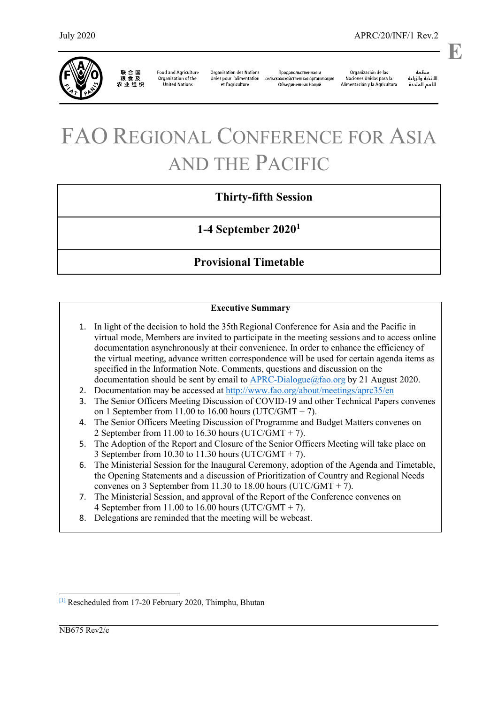

联合国<br>粮食及 农业组织

**Food and Agriculture** Organization of the **United Nations** 

**Organisation des Nations** Unies pour l'alimentation сельскохозяйственная организация et l'agriculture

Продовольственная и Объединенных Наций

Organización de las Naciones Unidas para la Alimentación y la Agricultura

منظمة سيسة<br>الأغذية والزراعة<br>للأمم المتددة

.

**E**

# FAO REGIONAL CONFERENCE FOR ASIA AND THE PACIFIC

# **Thirty-fifth Session**

**1-4 September 2020[1](#page-0-0)**

# **Provisional Timetable**

### **Executive Summary**

- 1. In light of the decision to hold the 35th Regional Conference for Asia and the Pacific in virtual mode, Members are invited to participate in the meeting sessions and to access online documentation asynchronously at their convenience. In order to enhance the efficiency of the virtual meeting, advance written correspondence will be used for certain agenda items as specified in the Information Note. Comments, questions and discussion on the documentation should be sent by email to  $APRC-Dialogue@fao.org$  by 21 August 2020.
- 2. Documentation may be accessed at<http://www.fao.org/about/meetings/aprc35/en>
- 3. The Senior Officers Meeting Discussion of COVID-19 and other Technical Papers convenes on 1 September from 11.00 to 16.00 hours (UTC/GMT  $+ 7$ ).
- 4. The Senior Officers Meeting Discussion of Programme and Budget Matters convenes on 2 September from 11.00 to 16.30 hours (UTC/GMT + 7).
- 5. The Adoption of the Report and Closure of the Senior Officers Meeting will take place on 3 September from 10.30 to 11.30 hours (UTC/GMT  $+ 7$ ).
- 6. The Ministerial Session for the Inaugural Ceremony, adoption of the Agenda and Timetable, the Opening Statements and a discussion of Prioritization of Country and Regional Needs convenes on 3 September from 11.30 to 18.00 hours (UTC/GMT + 7).
- 7. The Ministerial Session, and approval of the Report of the Conference convenes on 4 September from 11.00 to 16.00 hours (UTC/GMT  $+$  7).
- 8. Delegations are reminded that the meeting will be webcast.

<span id="page-0-0"></span>[\[1\]](https://unfao.sharepoint.com/sites/rap/Shared%20Documents/RAP-Corp/APRC/35th%20APRC/Official%20Documents%20Agenda,%20Timetable,ListDocuments/Timetable/Virtual%20Timetable%20NB675/APRC20_INF_1_rev2_NB675en_final_TT%2023%20July.docx#_ftnref1) Rescheduled from 17-20 February 2020, Thimphu, Bhutan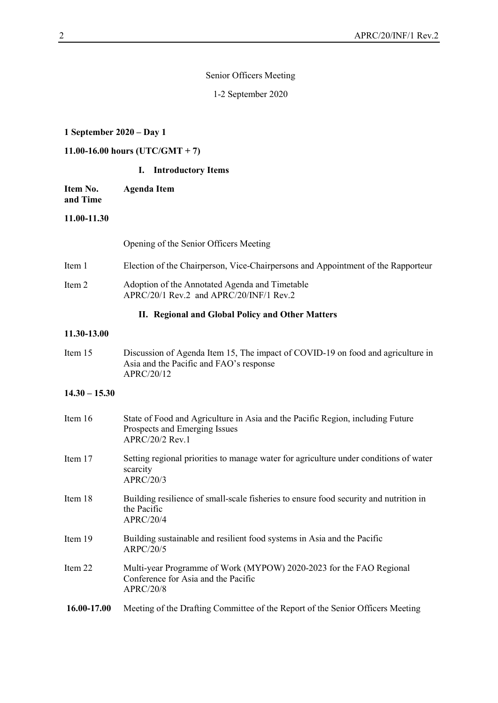#### Senior Officers Meeting

1-2 September 2020

#### **1 September 2020 – Day 1**

## **11.00-16.00 hours (UTC/GMT + 7)**

#### **I. Introductory Items**

**Item No. and Time Agenda Item**

#### **11.00-11.30**

Opening of the Senior Officers Meeting

- Item 1 Election of the Chairperson, Vice-Chairpersons and Appointment of the Rapporteur
- Item 2 Adoption of the Annotated Agenda and Timetable APRC/20/1 Rev.2 and APRC/20/INF/1 Rev.2

#### **II. Regional and Global Policy and Other Matters**

#### **11.30-13.00**

Item 15 Discussion of Agenda Item 15, The impact of COVID-19 on food and agriculture in Asia and the Pacific and FAO's response APRC/20/12

#### **14.30 – 15.30**

| Item $16$   | State of Food and Agriculture in Asia and the Pacific Region, including Future<br>Prospects and Emerging Issues<br>$APRC/20/2$ Rev.1 |
|-------------|--------------------------------------------------------------------------------------------------------------------------------------|
| Item 17     | Setting regional priorities to manage water for agriculture under conditions of water<br>scarcity<br>APRC/20/3                       |
| Item 18     | Building resilience of small-scale fisheries to ensure food security and nutrition in<br>the Pacific<br>APRC/20/4                    |
| Item 19     | Building sustainable and resilient food systems in Asia and the Pacific<br><b>ARPC/20/5</b>                                          |
| Item 22     | Multi-year Programme of Work (MYPOW) 2020-2023 for the FAO Regional<br>Conference for Asia and the Pacific<br>APRC/20/8              |
| 16.00-17.00 | Meeting of the Drafting Committee of the Report of the Senior Officers Meeting                                                       |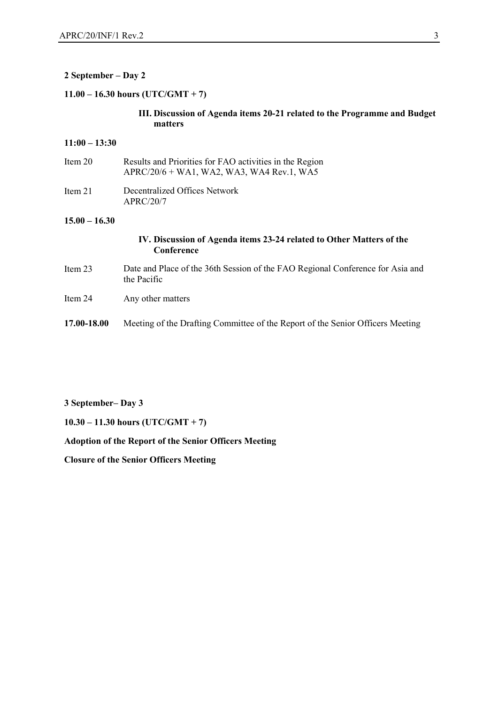#### **2 September – Day 2**

#### **11.00 – 16.30 hours (UTC/GMT + 7)**

#### **III. Discussion of Agenda items 20-21 related to the Programme and Budget matters**

#### **11:00 – 13:30**

| Item $20$ | Results and Priorities for FAO activities in the Region<br>APRC/20/6 + WA1, WA2, WA3, WA4 Rev.1, WA5 |
|-----------|------------------------------------------------------------------------------------------------------|
| Item $21$ | Decentralized Offices Network<br>APRC/20/7                                                           |

#### **15.00 – 16.30**

#### **IV. Discussion of Agenda items 23-24 related to Other Matters of the Conference**

- Item 23 Date and Place of the 36th Session of the FAO Regional Conference for Asia and the Pacific
- Item 24 Any other matters
- **17.00-18.00** Meeting of the Drafting Committee of the Report of the Senior Officers Meeting

#### **3 September– Day 3**

**10.30 – 11.30 hours (UTC/GMT + 7)**

#### **Adoption of the Report of the Senior Officers Meeting**

**Closure of the Senior Officers Meeting**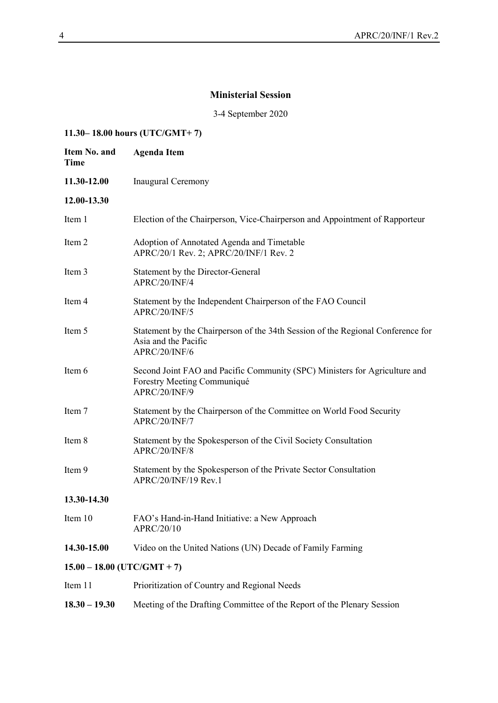## **Ministerial Session**

3-4 September 2020

## **11.30– 18.00 hours (UTC/GMT+ 7)**

| Item No. and<br><b>Time</b>   | <b>Agenda Item</b>                                                                                                         |
|-------------------------------|----------------------------------------------------------------------------------------------------------------------------|
| 11.30-12.00                   | <b>Inaugural Ceremony</b>                                                                                                  |
| 12.00-13.30                   |                                                                                                                            |
| Item 1                        | Election of the Chairperson, Vice-Chairperson and Appointment of Rapporteur                                                |
| Item 2                        | Adoption of Annotated Agenda and Timetable<br>APRC/20/1 Rev. 2; APRC/20/INF/1 Rev. 2                                       |
| Item 3                        | Statement by the Director-General<br>APRC/20/INF/4                                                                         |
| Item 4                        | Statement by the Independent Chairperson of the FAO Council<br>APRC/20/INF/5                                               |
| Item 5                        | Statement by the Chairperson of the 34th Session of the Regional Conference for<br>Asia and the Pacific<br>APRC/20/INF/6   |
| Item 6                        | Second Joint FAO and Pacific Community (SPC) Ministers for Agriculture and<br>Forestry Meeting Communiqué<br>APRC/20/INF/9 |
| Item 7                        | Statement by the Chairperson of the Committee on World Food Security<br>APRC/20/INF/7                                      |
| Item 8                        | Statement by the Spokesperson of the Civil Society Consultation<br>APRC/20/INF/8                                           |
| Item 9                        | Statement by the Spokesperson of the Private Sector Consultation<br>APRC/20/INF/19 Rev.1                                   |
| 13.30-14.30                   |                                                                                                                            |
| Item 10                       | FAO's Hand-in-Hand Initiative: a New Approach<br>APRC/20/10                                                                |
| 14.30-15.00                   | Video on the United Nations (UN) Decade of Family Farming                                                                  |
| $15.00 - 18.00$ (UTC/GMT + 7) |                                                                                                                            |
| Item 11                       | Prioritization of Country and Regional Needs                                                                               |
| $18.30 - 19.30$               | Meeting of the Drafting Committee of the Report of the Plenary Session                                                     |